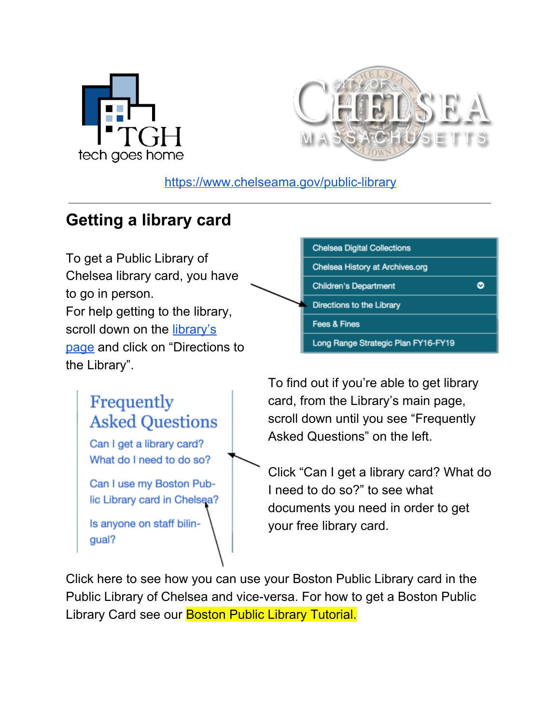



<https://www.chelseama.gov/public-library>

### **Getting a library card**

To get a Public Library of Chelsea library card, you have to go in person. For help getting to the library, scroll down on the [library's](https://www.chelseama.gov/public-library) [page](https://www.chelseama.gov/public-library) and click on "Directions to the Library".

# Frequently **Asked Questions**

Can I get a library card? What do I need to do so?

Can I use my Boston Public Library card in Chelsea?

Is anyone on staff bilingual?



To find out if you're able to get library card, from the Library's main page, scroll down until you see "Frequently Asked Questions" on the left.

Click "Can I get a library card? What do I need to do so?" to see what documents you need in order to get your free library card.

Click here to see how you can use your Boston Public Library card in the Public Library of Chelsea and vice-versa. For how to get a Boston Public Library Card see our Boston Public Library Tutorial.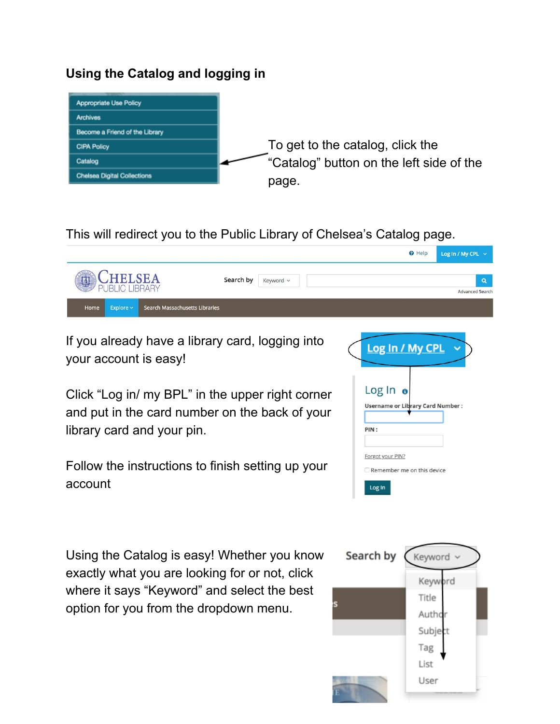#### **Using the Catalog and logging in**



This will redirect you to the Public Library of Chelsea's Catalog page.



If you already have a library card, logging into your account is easy!

Click "Log in/ my BPL" in the upper right corner and put in the card number on the back of your library card and your pin.

Follow the instructions to finish setting up your account

Using the Catalog is easy! Whether you know exactly what you are looking for or not, click where it says "Keyword" and select the best option for you from the dropdown menu.



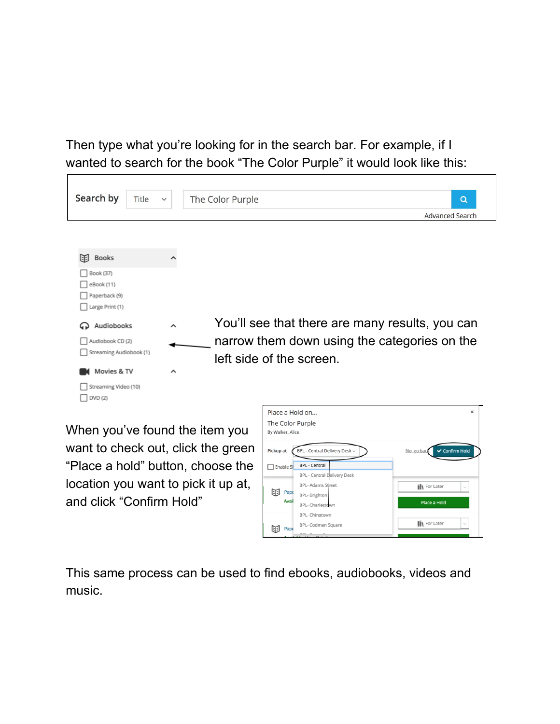Then type what you're looking for in the search bar. For example, if I wanted to search for the book "The Color Purple" it would look like this:

| Search by<br>Title                                          | $\checkmark$        | The Color Purple<br>$\alpha$<br><b>Advanced Search</b>                                                                      |
|-------------------------------------------------------------|---------------------|-----------------------------------------------------------------------------------------------------------------------------|
| 闻<br><b>Books</b>                                           | ㅅ                   |                                                                                                                             |
| Book (37)<br>eBook (11)<br>Paperback (9)<br>Large Print (1) |                     |                                                                                                                             |
| Audiobooks<br>Audiobook CD (2)<br>Streaming Audiobook (1)   | $\hat{\phantom{a}}$ | You'll see that there are many results, you can<br>narrow them down using the categories on the<br>left side of the screen. |
| Movies & TV<br>Streaming Video (10)<br>DVD (2)              | $\hat{\phantom{a}}$ | Place a Hold on<br>$\boldsymbol{\mathsf{x}}$                                                                                |

When you've found the item you want to check out, click the green "Place a hold" button, choose the location you want to pick it up at, and click "Confirm Hold"

| Place a Hold on<br>The Color Purple<br>By Walker, Alice |                               | $\mathsf{x}$                        |
|---------------------------------------------------------|-------------------------------|-------------------------------------|
| Pickup at                                               | BPL - Central Delivery Desk ~ | <b>√</b> Confirm Hold<br>No. go bac |
| Enable Si                                               | <b>BPL - Central</b>          |                                     |
|                                                         | BPL - Central Delivery Desk   |                                     |
|                                                         | <b>BPL-Adams Street</b>       | <b>iii</b> For Later<br>$\sim$      |
| 印<br>Pape                                               | BPL- Brighton                 |                                     |
| Avail                                                   | BPL- Charlestown              | Place a Hold                        |
|                                                         | BPL- Chinatown                |                                     |
| Pape                                                    | BPL- Codman Square            | <b>ii</b> For Later<br>$\sim$       |
|                                                         | $nnr$ $r_{n,n+1}$<br>.        |                                     |

This same process can be used to find ebooks, audiobooks, videos and music.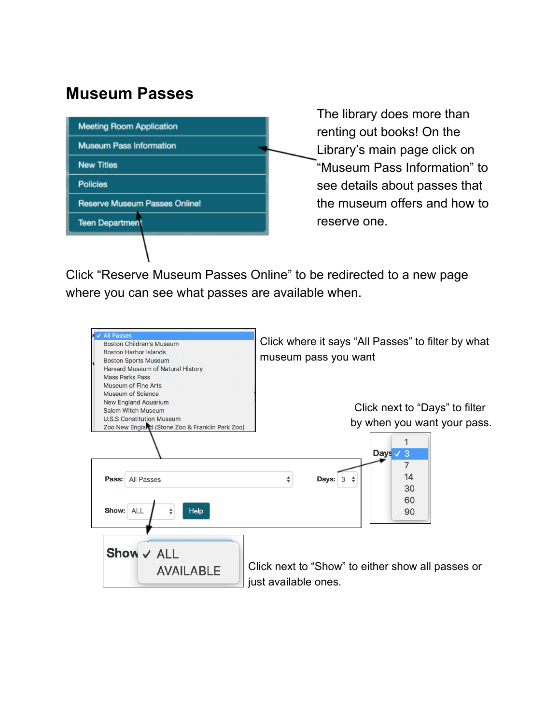### **Museum Passes**

| <b>Meeting Room Application</b>      |  |  |  |
|--------------------------------------|--|--|--|
| <b>Museum Pass Information</b>       |  |  |  |
| <b>New Titles</b>                    |  |  |  |
| <b>Policies</b>                      |  |  |  |
| <b>Reserve Museum Passes Online!</b> |  |  |  |
| <b>Teen Department</b>               |  |  |  |
|                                      |  |  |  |

The library does more than renting out books! On the Library's main page click on "Museum Pass Information" to see details about passes that the museum offers and how to reserve one.

Click "Reserve Museum Passes Online" to be redirected to a new page where you can see what passes are available when.

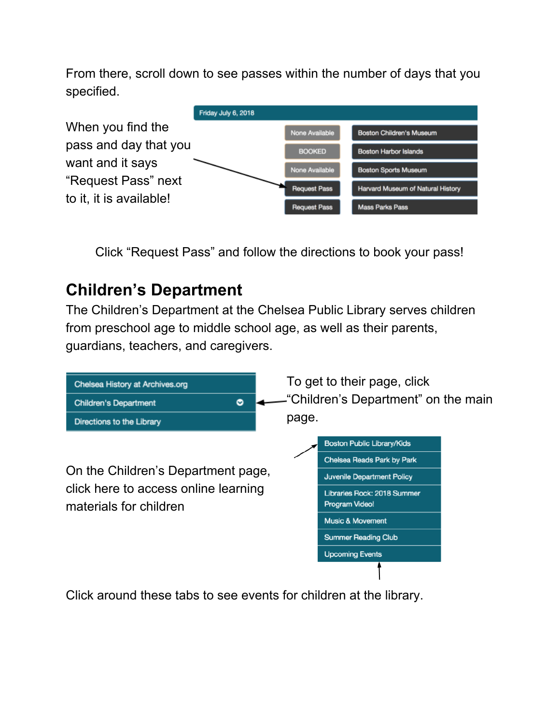From there, scroll down to see passes within the number of days that you specified.



Click "Request Pass" and follow the directions to book your pass!

## **Children's Department**

The Children's Department at the Chelsea Public Library serves children from preschool age to middle school age, as well as their parents, guardians, teachers, and caregivers.



Click around these tabs to see events for children at the library.